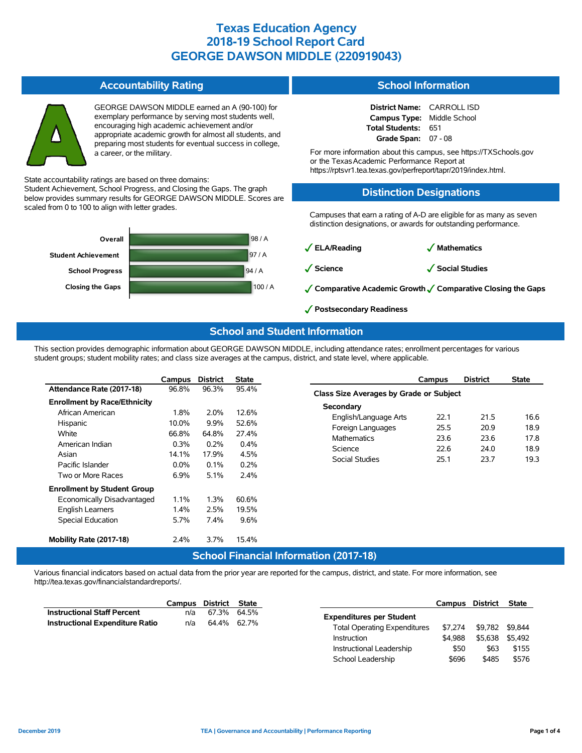#### **Accountability Rating**

GEORGE DAWSON MIDDLE earned an A (90-100) for exemplary performance by serving most students well, encouraging high academic achievement and/or appropriate academic growth for almost all students, and preparing most students for eventual success in college, a career, or the military.

State accountability ratings are based on three domains:

Student Achievement, School Progress, and Closing the Gaps. The graph below provides summary results for GEORGE DAWSON MIDDLE. Scores are scaled from 0 to 100 to align with letter grades.



#### **School Information**

| District Name: CARROLL ISD        |     |
|-----------------------------------|-----|
| <b>Campus Type:</b> Middle School |     |
| Total Students:                   | 651 |
| Grade Span: $07 - 08$             |     |

For more information about this campus, see https://TXSchools.gov or the TexasAcademic Performance Report at https://rptsvr1.tea.texas.gov/perfreport/tapr/2019/index.html.

### **Distinction Designations**

Campuses that earn a rating of A-D are eligible for as many as seven distinction designations, or awards for outstanding performance.

✓**ELA/Reading** ✓ **Mathematics**

✓**Science** ✓**Social Studies**

- ✓**Comparative Academic Growth**✓**Comparative Closing the Gaps**
- ✓**Postsecondary Readiness**

#### **School and Student Information**

This section provides demographic information about GEORGE DAWSON MIDDLE, including attendance rates; enrollment percentages for various student groups; student mobility rates; and class size averages at the campus, district, and state level, where applicable.

|                                     | Campus  | <b>District</b>   | <b>State</b> |
|-------------------------------------|---------|-------------------|--------------|
| Attendance Rate (2017-18)           | 96.8%   | 96.3%             | 95.4%        |
| <b>Enrollment by Race/Ethnicity</b> |         |                   |              |
| African American                    | 1.8%    | 2.0%              | 12.6%        |
| Hispanic                            | 10.0%   | $9.9\%$           | 52.6%        |
| White                               | 66.8%   | 64.8%             | 27.4%        |
| American Indian                     | $0.3\%$ | 0.2%              | $0.4\%$      |
| Asian                               | 14.1%   | 17.9%             | 4.5%         |
| Pacific Islander                    | $0.0\%$ | $0.1\%$           | $0.2\%$      |
| Two or More Races                   | 6.9%    | 5.1%              | $2.4\%$      |
| <b>Enrollment by Student Group</b>  |         |                   |              |
| Economically Disadvantaged          | $1.1\%$ | 1.3%              | 60.6%        |
| <b>English Learners</b>             | $1.4\%$ | 2.5%              | 19.5%        |
| <b>Special Education</b>            | 5.7%    | 7.4%              | 9.6%         |
|                                     |         |                   |              |
| Mobility Rate (2017-18)             | 2.4%    | 3.7%              | 15.4%        |
|                                     |         | $C$ ehaal Finanai |              |

|                                         | Campus | <b>District</b> | State |  |  |  |  |  |  |
|-----------------------------------------|--------|-----------------|-------|--|--|--|--|--|--|
| Class Size Averages by Grade or Subject |        |                 |       |  |  |  |  |  |  |
| Secondary                               |        |                 |       |  |  |  |  |  |  |
| English/Language Arts                   | 221    | 21.5            | 16 6  |  |  |  |  |  |  |
| Foreign Languages                       | 25.5   | 20.9            | 18.9  |  |  |  |  |  |  |
| <b>Mathematics</b>                      | 23.6   | 23.6            | 17.8  |  |  |  |  |  |  |
| Science                                 | 22.6   | 24.0            | 18.9  |  |  |  |  |  |  |
| Social Studies                          | 251    | 23.7            | 19.3  |  |  |  |  |  |  |
|                                         |        |                 |       |  |  |  |  |  |  |

### **School Financial Information (2017-18)**

Various financial indicators based on actual data from the prior year are reported for the campus, district, and state. For more information, see http://tea.texas.gov/financialstandardreports/.

|                                        | Campus | District | State       |                                                    | <b>Campus</b>      | <b>District</b>            | <b>State</b> |
|----------------------------------------|--------|----------|-------------|----------------------------------------------------|--------------------|----------------------------|--------------|
| <b>Instructional Staff Percent</b>     | n/a    | 67.3%    | 64.5%       | <b>Expenditures per Student</b>                    |                    |                            |              |
| <b>Instructional Expenditure Ratio</b> | n/a    |          | 64.4% 62.7% | <b>Total Operating Expenditures</b><br>Instruction | \$7.274<br>\$4.988 | \$9.782 \$9.844<br>\$5.638 | \$5.492      |
|                                        |        |          |             | Instructional Leadership                           | \$50               | \$63                       | \$155        |
|                                        |        |          |             | School Leadership                                  | \$696              | \$485                      | \$576        |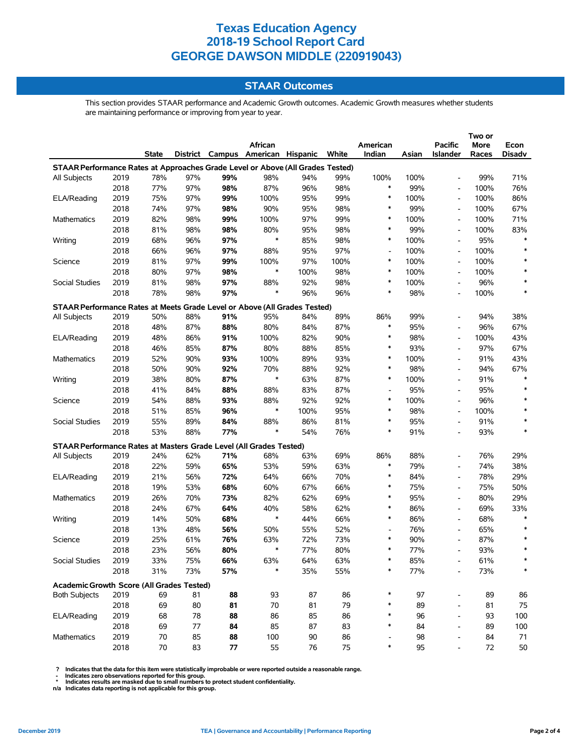## **STAAR Outcomes**

This section provides STAAR performance and Academic Growth outcomes. Academic Growth measures whether students are maintaining performance or improving from year to year.

|                                                                           |                                                                                |              |     |     | African                                 |      |      | American                 |       | Pacific                      | More  | Econ   |  |
|---------------------------------------------------------------------------|--------------------------------------------------------------------------------|--------------|-----|-----|-----------------------------------------|------|------|--------------------------|-------|------------------------------|-------|--------|--|
|                                                                           |                                                                                | <b>State</b> |     |     | District Campus American Hispanic White |      |      | Indian                   | Asian | Islander                     | Races | Disadv |  |
|                                                                           | STAAR Performance Rates at Approaches Grade Level or Above (All Grades Tested) |              |     |     |                                         |      |      |                          |       |                              |       |        |  |
| All Subjects                                                              | 2019                                                                           | 78%          | 97% | 99% | 98%                                     | 94%  | 99%  | 100%                     | 100%  |                              | 99%   | 71%    |  |
|                                                                           | 2018                                                                           | 77%          | 97% | 98% | 87%                                     | 96%  | 98%  | $\ast$                   | 99%   | $\overline{\phantom{a}}$     | 100%  | 76%    |  |
| ELA/Reading                                                               | 2019                                                                           | 75%          | 97% | 99% | 100%                                    | 95%  | 99%  | $\ast$                   | 100%  | $\overline{\phantom{a}}$     | 100%  | 86%    |  |
|                                                                           | 2018                                                                           | 74%          | 97% | 98% | 90%                                     | 95%  | 98%  | $\ast$                   | 99%   | $\overline{\phantom{a}}$     | 100%  | 67%    |  |
| Mathematics                                                               | 2019                                                                           | 82%          | 98% | 99% | 100%                                    | 97%  | 99%  | $\ast$                   | 100%  | $\overline{\phantom{a}}$     | 100%  | 71%    |  |
|                                                                           | 2018                                                                           | 81%          | 98% | 98% | 80%                                     | 95%  | 98%  | $\ast$                   | 99%   |                              | 100%  | 83%    |  |
| Writing                                                                   | 2019                                                                           | 68%          | 96% | 97% | $\ast$                                  | 85%  | 98%  | $\ast$                   | 100%  |                              | 95%   | *      |  |
|                                                                           | 2018                                                                           | 66%          | 96% | 97% | 88%                                     | 95%  | 97%  | $\overline{\phantom{a}}$ | 100%  | $\overline{\phantom{a}}$     | 100%  | $\ast$ |  |
| Science                                                                   | 2019                                                                           | 81%          | 97% | 99% | 100%                                    | 97%  | 100% | $\ast$                   | 100%  | $\qquad \qquad \blacksquare$ | 100%  |        |  |
|                                                                           | 2018                                                                           | 80%          | 97% | 98% | $\ast$                                  | 100% | 98%  | $\ast$                   | 100%  | $\overline{\phantom{a}}$     | 100%  | $\ast$ |  |
| Social Studies                                                            | 2019                                                                           | 81%          | 98% | 97% | 88%                                     | 92%  | 98%  | $\ast$                   | 100%  | $\overline{a}$               | 96%   | $\ast$ |  |
|                                                                           | 2018                                                                           | 78%          | 98% | 97% | $\ast$                                  | 96%  | 96%  | $\ast$                   | 98%   |                              | 100%  | *      |  |
| STAAR Performance Rates at Meets Grade Level or Above (All Grades Tested) |                                                                                |              |     |     |                                         |      |      |                          |       |                              |       |        |  |
| All Subjects                                                              | 2019                                                                           | 50%          | 88% | 91% | 95%                                     | 84%  | 89%  | 86%                      | 99%   | $\overline{a}$               | 94%   | 38%    |  |
|                                                                           | 2018                                                                           | 48%          | 87% | 88% | 80%                                     | 84%  | 87%  | $\ast$                   | 95%   | $\overline{\phantom{a}}$     | 96%   | 67%    |  |
| ELA/Reading                                                               | 2019                                                                           | 48%          | 86% | 91% | 100%                                    | 82%  | 90%  | $\ast$                   | 98%   | $\overline{\phantom{a}}$     | 100%  | 43%    |  |
|                                                                           | 2018                                                                           | 46%          | 85% | 87% | 80%                                     | 88%  | 85%  | $\ast$                   | 93%   | $\overline{a}$               | 97%   | 67%    |  |
| Mathematics                                                               | 2019                                                                           | 52%          | 90% | 93% | 100%                                    | 89%  | 93%  | $\ast$                   | 100%  | $\overline{a}$               | 91%   | 43%    |  |
|                                                                           | 2018                                                                           | 50%          | 90% | 92% | 70%                                     | 88%  | 92%  | $\ast$                   | 98%   | $\overline{\phantom{a}}$     | 94%   | 67%    |  |
| Writing                                                                   | 2019                                                                           | 38%          | 80% | 87% | $\ast$                                  | 63%  | 87%  | $\ast$                   | 100%  | $\overline{\phantom{a}}$     | 91%   |        |  |
|                                                                           | 2018                                                                           | 41%          | 84% | 88% | 88%                                     | 83%  | 87%  | $\overline{\phantom{a}}$ | 95%   | $\overline{a}$               | 95%   | $\ast$ |  |
| Science                                                                   | 2019                                                                           | 54%          | 88% | 93% | 88%                                     | 92%  | 92%  | $\ast$                   | 100%  | $\overline{\phantom{a}}$     | 96%   | $\ast$ |  |
|                                                                           | 2018                                                                           | 51%          | 85% | 96% | $\ast$                                  | 100% | 95%  | $\ast$                   | 98%   |                              | 100%  |        |  |
| Social Studies                                                            | 2019                                                                           | 55%          | 89% | 84% | 88%                                     | 86%  | 81%  | $\ast$                   | 95%   | $\overline{a}$               | 91%   |        |  |
|                                                                           | 2018                                                                           | 53%          | 88% | 77% | $\ast$                                  | 54%  | 76%  | $\ast$                   | 91%   | $\overline{\phantom{a}}$     | 93%   | *      |  |
| STAAR Performance Rates at Masters Grade Level (All Grades Tested)        |                                                                                |              |     |     |                                         |      |      |                          |       |                              |       |        |  |
| All Subjects                                                              | 2019                                                                           | 24%          | 62% | 71% | 68%                                     | 63%  | 69%  | 86%                      | 88%   | $\overline{a}$               | 76%   | 29%    |  |
|                                                                           | 2018                                                                           | 22%          | 59% | 65% | 53%                                     | 59%  | 63%  | $\ast$                   | 79%   | $\qquad \qquad \blacksquare$ | 74%   | 38%    |  |
| ELA/Reading                                                               | 2019                                                                           | 21%          | 56% | 72% | 64%                                     | 66%  | 70%  | $\ast$                   | 84%   | $\qquad \qquad \blacksquare$ | 78%   | 29%    |  |
|                                                                           | 2018                                                                           | 19%          | 53% | 68% | 60%                                     | 67%  | 66%  | $\ast$                   | 75%   | $\overline{\phantom{a}}$     | 75%   | 50%    |  |
| Mathematics                                                               | 2019                                                                           | 26%          | 70% | 73% | 82%                                     | 62%  | 69%  | $\ast$                   | 95%   | $\overline{\phantom{a}}$     | 80%   | 29%    |  |
|                                                                           | 2018                                                                           | 24%          | 67% | 64% | 40%                                     | 58%  | 62%  | $\ast$                   | 86%   | $\overline{\phantom{a}}$     | 69%   | 33%    |  |
| Writing                                                                   | 2019                                                                           | 14%          | 50% | 68% | $\ast$                                  | 44%  | 66%  | $\ast$                   | 86%   | $\overline{\phantom{a}}$     | 68%   | *      |  |
|                                                                           | 2018                                                                           | 13%          | 48% | 56% | 50%                                     | 55%  | 52%  | $\overline{\phantom{a}}$ | 76%   | $\overline{\phantom{a}}$     | 65%   | $\ast$ |  |
| Science                                                                   | 2019                                                                           | 25%          | 61% | 76% | 63%                                     | 72%  | 73%  | $\ast$                   | 90%   | $\overline{\phantom{a}}$     | 87%   |        |  |
|                                                                           | 2018                                                                           | 23%          | 56% | 80% | $\ast$                                  | 77%  | 80%  | $\ast$                   | 77%   |                              | 93%   | $\ast$ |  |
| Social Studies                                                            | 2019                                                                           | 33%          | 75% | 66% | 63%                                     | 64%  | 63%  |                          | 85%   | $\overline{\phantom{0}}$     | 61%   |        |  |
|                                                                           | 2018                                                                           | 31%          | 73% | 57% | $\ast$                                  | 35%  | 55%  | $\ast$                   | 77%   | $\overline{a}$               | 73%   | $\ast$ |  |
|                                                                           |                                                                                |              |     |     |                                         |      |      |                          |       |                              |       |        |  |
| Academic Growth Score (All Grades Tested)<br><b>Both Subjects</b>         | 2019                                                                           | 69           | 81  | 88  | 93                                      | 87   | 86   |                          | 97    | $\overline{\phantom{a}}$     | 89    | 86     |  |
|                                                                           | 2018                                                                           | 69           | 80  | 81  | 70                                      | 81   | 79   | $\ast$                   | 89    | $\overline{a}$               | 81    | 75     |  |
| ELA/Reading                                                               | 2019                                                                           | 68           | 78  | 88  | 86                                      | 85   | 86   | ∗                        | 96    | $\qquad \qquad \blacksquare$ | 93    | 100    |  |
|                                                                           | 2018                                                                           | 69           | 77  | 84  | 85                                      | 87   | 83   | $\ast$                   | 84    | $\qquad \qquad \blacksquare$ | 89    | 100    |  |
| Mathematics                                                               | 2019                                                                           | 70           | 85  | 88  | 100                                     | 90   | 86   |                          | 98    | $\overline{\phantom{m}}$     | 84    | 71     |  |
|                                                                           | 2018                                                                           | 70           | 83  | 77  | 55                                      | 76   | 75   | ∗                        | 95    | $\overline{a}$               | 72    | 50     |  |
|                                                                           |                                                                                |              |     |     |                                         |      |      |                          |       |                              |       |        |  |

? Indicates that the data for this item were statistically improbable or were reported outside a reasonable range.<br>- Indicates zero observations reported for this group.<br>\* Indicates results are masked due to small numbers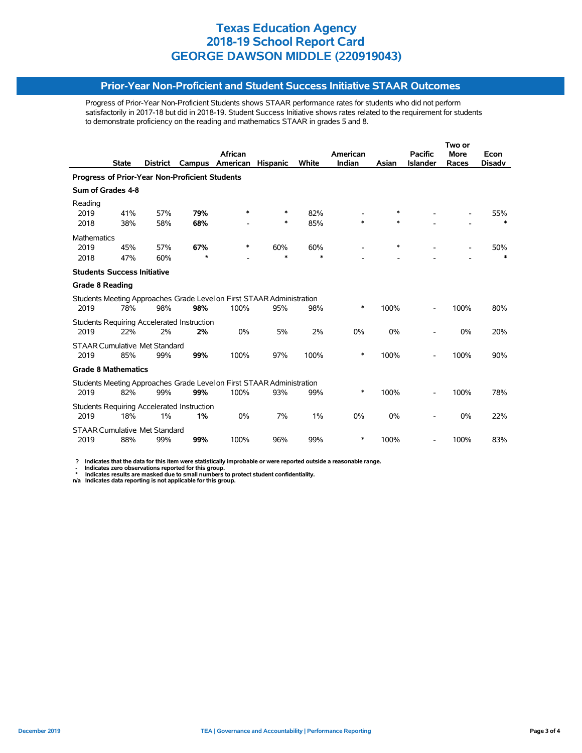#### **Prior-Year Non-Proficient and Student Success Initiative STAAR Outcomes**

Progress of Prior-Year Non-Proficient Students shows STAAR performance rates for students who did not perform satisfactorily in 2017-18 but did in 2018-19. Student Success Initiative shows rates related to the requirement for students to demonstrate proficiency on the reading and mathematics STAAR in grades 5 and 8.

|                                                |              |                 |                                            |                                                                       |                 |        |          | Two or |                 |             |               |  |
|------------------------------------------------|--------------|-----------------|--------------------------------------------|-----------------------------------------------------------------------|-----------------|--------|----------|--------|-----------------|-------------|---------------|--|
|                                                |              |                 |                                            | African                                                               |                 |        | American |        | <b>Pacific</b>  | <b>More</b> | Econ          |  |
|                                                | <b>State</b> | <b>District</b> | Campus                                     | American                                                              | <b>Hispanic</b> | White  | Indian   | Asian  | <b>Islander</b> | Races       | <b>Disadv</b> |  |
| Progress of Prior-Year Non-Proficient Students |              |                 |                                            |                                                                       |                 |        |          |        |                 |             |               |  |
| Sum of Grades 4-8                              |              |                 |                                            |                                                                       |                 |        |          |        |                 |             |               |  |
| Reading                                        |              |                 |                                            |                                                                       |                 |        |          |        |                 |             |               |  |
| 2019                                           | 41%          | 57%             | 79%                                        | *                                                                     | *               | 82%    |          | $\ast$ |                 |             | 55%           |  |
| 2018                                           | 38%          | 58%             | 68%                                        |                                                                       | *               | 85%    | $\ast$   | $\ast$ |                 |             | $\ast$        |  |
| <b>Mathematics</b>                             |              |                 |                                            |                                                                       |                 |        |          |        |                 |             |               |  |
| 2019                                           | 45%          | 57%             | 67%                                        | ∗                                                                     | 60%             | 60%    |          | $\ast$ |                 |             | 50%           |  |
| 2018                                           | 47%          | 60%             | $\star$                                    |                                                                       | *               | $\ast$ |          |        |                 |             |               |  |
| <b>Students Success Initiative</b>             |              |                 |                                            |                                                                       |                 |        |          |        |                 |             |               |  |
| <b>Grade 8 Reading</b>                         |              |                 |                                            |                                                                       |                 |        |          |        |                 |             |               |  |
|                                                |              |                 |                                            | Students Meeting Approaches Grade Level on First STAAR Administration |                 |        |          |        |                 |             |               |  |
| 2019                                           | 78%          | 98%             | 98%                                        | 100%                                                                  | 95%             | 98%    | *        | 100%   |                 | 100%        | 80%           |  |
|                                                |              |                 | Students Requiring Accelerated Instruction |                                                                       |                 |        |          |        |                 |             |               |  |
| 2019                                           | 22%          | 2%              | 2%                                         | 0%                                                                    | 5%              | 2%     | 0%       | 0%     |                 | 0%          | 20%           |  |
| <b>STAAR Cumulative Met Standard</b>           |              |                 |                                            |                                                                       |                 |        |          |        |                 |             |               |  |
| 2019                                           | 85%          | 99%             | 99%                                        | 100%                                                                  | 97%             | 100%   | $\ast$   | 100%   |                 | 100%        | 90%           |  |
| <b>Grade 8 Mathematics</b>                     |              |                 |                                            |                                                                       |                 |        |          |        |                 |             |               |  |
|                                                |              |                 |                                            | Students Meeting Approaches Grade Level on First STAAR Administration |                 |        |          |        |                 |             |               |  |
| 2019                                           | 82%          | 99%             | 99%                                        | 100%                                                                  | 93%             | 99%    | *        | 100%   |                 | 100%        | 78%           |  |
|                                                |              |                 | Students Requiring Accelerated Instruction |                                                                       |                 |        |          |        |                 |             |               |  |
| 2019                                           | 18%          | 1%              | 1%                                         | 0%                                                                    | 7%              | 1%     | 0%       | 0%     |                 | 0%          | 22%           |  |
| <b>STAAR Cumulative Met Standard</b>           |              |                 |                                            |                                                                       |                 |        |          |        |                 |             |               |  |
| 2019                                           | 88%          | 99%             | 99%                                        | 100%                                                                  | 96%             | 99%    | *        | 100%   |                 | 100%        | 83%           |  |
|                                                |              |                 |                                            |                                                                       |                 |        |          |        |                 |             |               |  |

 **? Indicates that the data for this item were statistically improbable or were reported outside a reasonable range.**

- Indicates zero observations reported for this group.<br>\* Indicates results are masked due to small numbers to protect student confidentiality.<br>n/a Indicates data reporting is not applicable for this group.